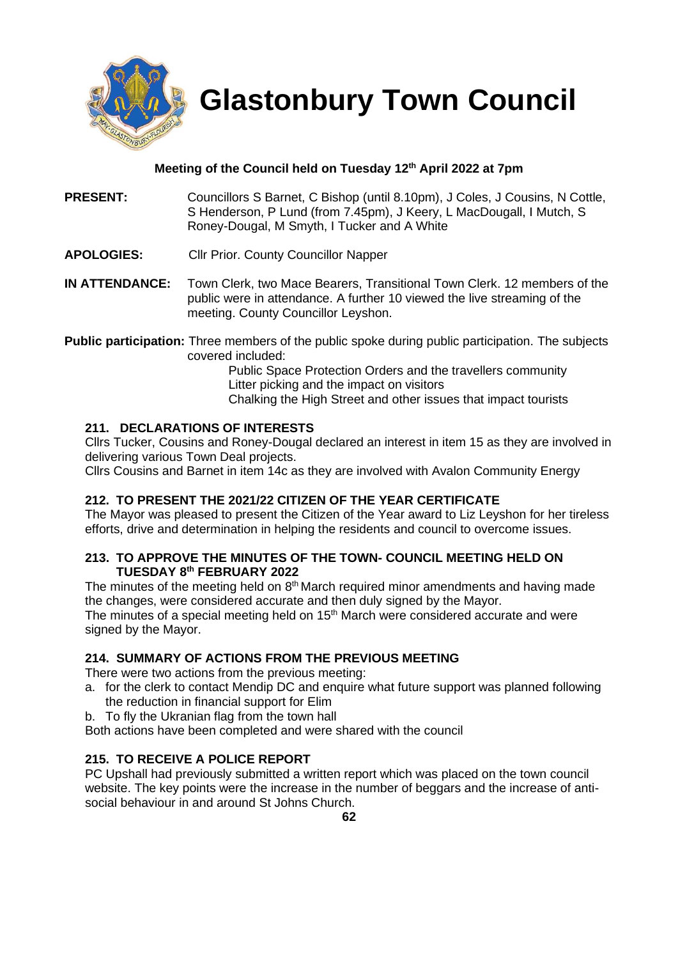

 **Glastonbury Town Council**

# **Meeting of the Council held on Tuesday 12th April 2022 at 7pm**

- **PRESENT:** Councillors S Barnet, C Bishop (until 8.10pm), J Coles, J Cousins, N Cottle, S Henderson, P Lund (from 7.45pm), J Keery, L MacDougall, I Mutch, S Roney-Dougal, M Smyth, I Tucker and A White
- **APOLOGIES:** Cllr Prior. County Councillor Napper
- **IN ATTENDANCE:** Town Clerk, two Mace Bearers, Transitional Town Clerk. 12 members of the public were in attendance. A further 10 viewed the live streaming of the meeting. County Councillor Leyshon.

**Public participation:** Three members of the public spoke during public participation. The subjects covered included:

Public Space Protection Orders and the travellers community Litter picking and the impact on visitors Chalking the High Street and other issues that impact tourists

# **211. DECLARATIONS OF INTERESTS**

Cllrs Tucker, Cousins and Roney-Dougal declared an interest in item 15 as they are involved in delivering various Town Deal projects.

Cllrs Cousins and Barnet in item 14c as they are involved with Avalon Community Energy

## **212. TO PRESENT THE 2021/22 CITIZEN OF THE YEAR CERTIFICATE**

The Mayor was pleased to present the Citizen of the Year award to Liz Leyshon for her tireless efforts, drive and determination in helping the residents and council to overcome issues.

## **213. TO APPROVE THE MINUTES OF THE TOWN- COUNCIL MEETING HELD ON TUESDAY 8 th FEBRUARY 2022**

The minutes of the meeting held on  $8<sup>th</sup>$  March required minor amendments and having made the changes, were considered accurate and then duly signed by the Mayor.

The minutes of a special meeting held on 15<sup>th</sup> March were considered accurate and were signed by the Mayor.

## **214. SUMMARY OF ACTIONS FROM THE PREVIOUS MEETING**

There were two actions from the previous meeting:

- a. for the clerk to contact Mendip DC and enquire what future support was planned following the reduction in financial support for Elim
- b. To fly the Ukranian flag from the town hall

Both actions have been completed and were shared with the council

## **215. TO RECEIVE A POLICE REPORT**

PC Upshall had previously submitted a written report which was placed on the town council website. The key points were the increase in the number of beggars and the increase of antisocial behaviour in and around St Johns Church.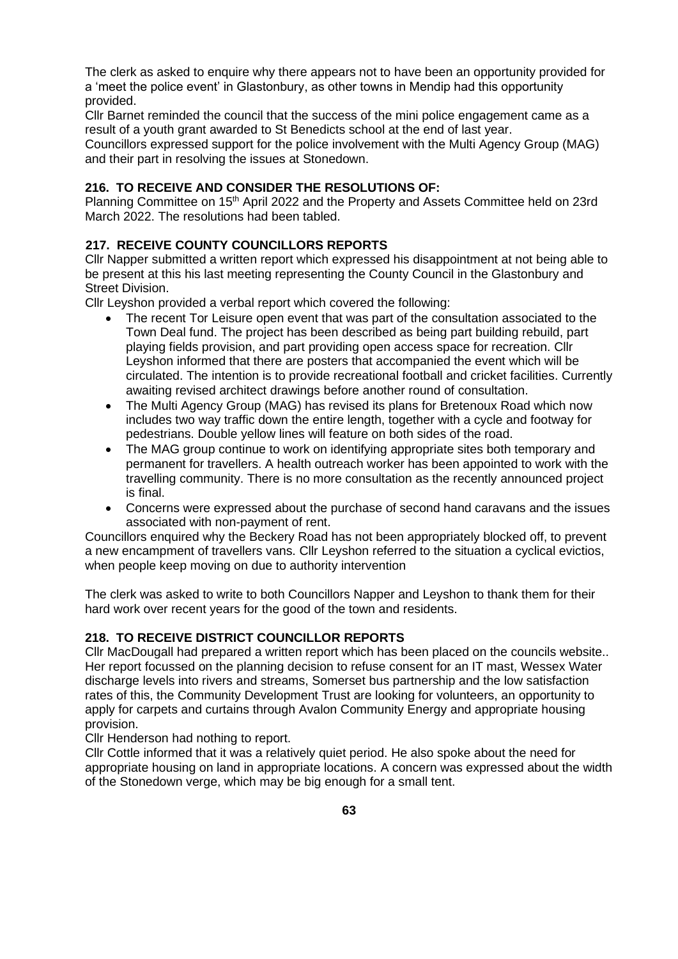The clerk as asked to enquire why there appears not to have been an opportunity provided for a 'meet the police event' in Glastonbury, as other towns in Mendip had this opportunity provided.

Cllr Barnet reminded the council that the success of the mini police engagement came as a result of a youth grant awarded to St Benedicts school at the end of last year.

Councillors expressed support for the police involvement with the Multi Agency Group (MAG) and their part in resolving the issues at Stonedown.

## **216. TO RECEIVE AND CONSIDER THE RESOLUTIONS OF:**

Planning Committee on 15<sup>th</sup> April 2022 and the Property and Assets Committee held on 23rd March 2022. The resolutions had been tabled.

# **217. RECEIVE COUNTY COUNCILLORS REPORTS**

Cllr Napper submitted a written report which expressed his disappointment at not being able to be present at this his last meeting representing the County Council in the Glastonbury and Street Division.

Cllr Leyshon provided a verbal report which covered the following:

- The recent Tor Leisure open event that was part of the consultation associated to the Town Deal fund. The project has been described as being part building rebuild, part playing fields provision, and part providing open access space for recreation. Cllr Leyshon informed that there are posters that accompanied the event which will be circulated. The intention is to provide recreational football and cricket facilities. Currently awaiting revised architect drawings before another round of consultation.
- The Multi Agency Group (MAG) has revised its plans for Bretenoux Road which now includes two way traffic down the entire length, together with a cycle and footway for pedestrians. Double yellow lines will feature on both sides of the road.
- The MAG group continue to work on identifying appropriate sites both temporary and permanent for travellers. A health outreach worker has been appointed to work with the travelling community. There is no more consultation as the recently announced project is final.
- Concerns were expressed about the purchase of second hand caravans and the issues associated with non-payment of rent.

Councillors enquired why the Beckery Road has not been appropriately blocked off, to prevent a new encampment of travellers vans. Cllr Leyshon referred to the situation a cyclical evictios, when people keep moving on due to authority intervention

The clerk was asked to write to both Councillors Napper and Leyshon to thank them for their hard work over recent years for the good of the town and residents.

## **218. TO RECEIVE DISTRICT COUNCILLOR REPORTS**

Cllr MacDougall had prepared a written report which has been placed on the councils website.. Her report focussed on the planning decision to refuse consent for an IT mast, Wessex Water discharge levels into rivers and streams, Somerset bus partnership and the low satisfaction rates of this, the Community Development Trust are looking for volunteers, an opportunity to apply for carpets and curtains through Avalon Community Energy and appropriate housing provision.

Cllr Henderson had nothing to report.

Cllr Cottle informed that it was a relatively quiet period. He also spoke about the need for appropriate housing on land in appropriate locations. A concern was expressed about the width of the Stonedown verge, which may be big enough for a small tent.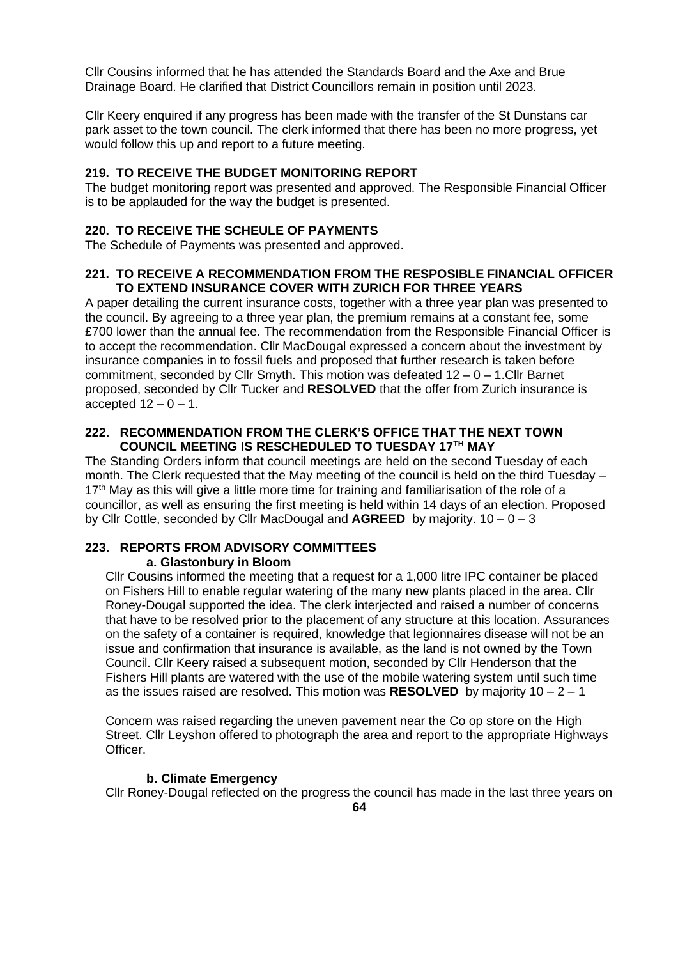Cllr Cousins informed that he has attended the Standards Board and the Axe and Brue Drainage Board. He clarified that District Councillors remain in position until 2023.

Cllr Keery enquired if any progress has been made with the transfer of the St Dunstans car park asset to the town council. The clerk informed that there has been no more progress, yet would follow this up and report to a future meeting.

## **219. TO RECEIVE THE BUDGET MONITORING REPORT**

The budget monitoring report was presented and approved. The Responsible Financial Officer is to be applauded for the way the budget is presented.

## **220. TO RECEIVE THE SCHEULE OF PAYMENTS**

The Schedule of Payments was presented and approved.

## **221. TO RECEIVE A RECOMMENDATION FROM THE RESPOSIBLE FINANCIAL OFFICER TO EXTEND INSURANCE COVER WITH ZURICH FOR THREE YEARS**

A paper detailing the current insurance costs, together with a three year plan was presented to the council. By agreeing to a three year plan, the premium remains at a constant fee, some £700 lower than the annual fee. The recommendation from the Responsible Financial Officer is to accept the recommendation. Cllr MacDougal expressed a concern about the investment by insurance companies in to fossil fuels and proposed that further research is taken before commitment, seconded by Cllr Smyth. This motion was defeated 12 – 0 – 1.Cllr Barnet proposed, seconded by Cllr Tucker and **RESOLVED** that the offer from Zurich insurance is accepted  $12 - 0 - 1$ .

#### **222. RECOMMENDATION FROM THE CLERK'S OFFICE THAT THE NEXT TOWN COUNCIL MEETING IS RESCHEDULED TO TUESDAY 17TH MAY**

The Standing Orders inform that council meetings are held on the second Tuesday of each month. The Clerk requested that the May meeting of the council is held on the third Tuesday –  $17<sup>th</sup>$  May as this will give a little more time for training and familiarisation of the role of a councillor, as well as ensuring the first meeting is held within 14 days of an election. Proposed by Cllr Cottle, seconded by Cllr MacDougal and **AGREED** by majority. 10 – 0 – 3

# **223. REPORTS FROM ADVISORY COMMITTEES**

#### **a. Glastonbury in Bloom**

Cllr Cousins informed the meeting that a request for a 1,000 litre IPC container be placed on Fishers Hill to enable regular watering of the many new plants placed in the area. Cllr Roney-Dougal supported the idea. The clerk interjected and raised a number of concerns that have to be resolved prior to the placement of any structure at this location. Assurances on the safety of a container is required, knowledge that legionnaires disease will not be an issue and confirmation that insurance is available, as the land is not owned by the Town Council. Cllr Keery raised a subsequent motion, seconded by Cllr Henderson that the Fishers Hill plants are watered with the use of the mobile watering system until such time as the issues raised are resolved. This motion was **RESOLVED** by majority 10 – 2 – 1

Concern was raised regarding the uneven pavement near the Co op store on the High Street. Cllr Leyshon offered to photograph the area and report to the appropriate Highways Officer.

#### **b. Climate Emergency**

Cllr Roney-Dougal reflected on the progress the council has made in the last three years on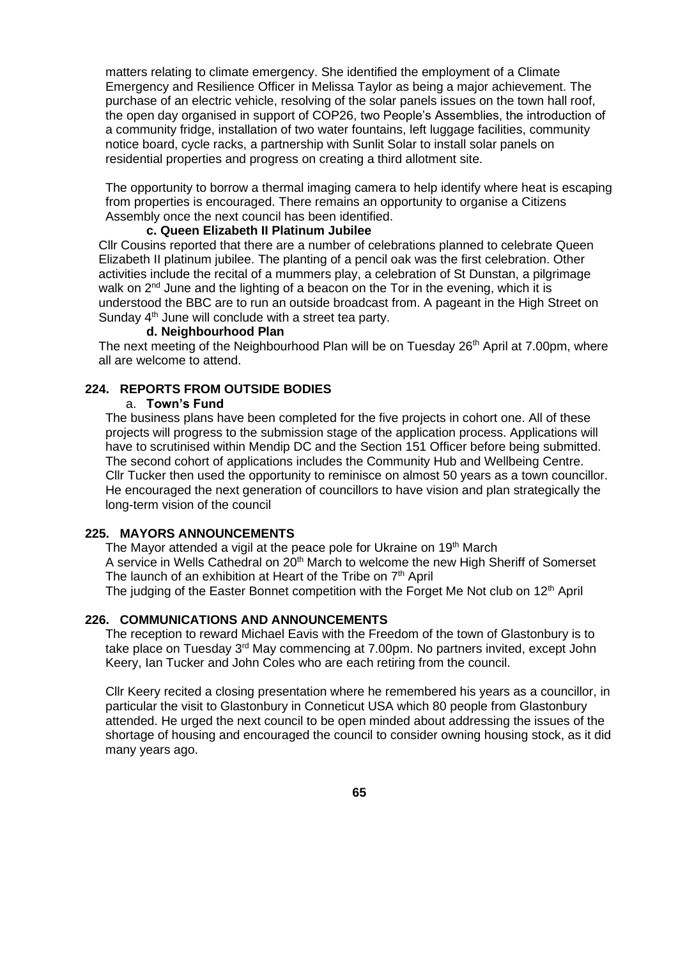matters relating to climate emergency. She identified the employment of a Climate Emergency and Resilience Officer in Melissa Taylor as being a major achievement. The purchase of an electric vehicle, resolving of the solar panels issues on the town hall roof, the open day organised in support of COP26, two People's Assemblies, the introduction of a community fridge, installation of two water fountains, left luggage facilities, community notice board, cycle racks, a partnership with Sunlit Solar to install solar panels on residential properties and progress on creating a third allotment site.

The opportunity to borrow a thermal imaging camera to help identify where heat is escaping from properties is encouraged. There remains an opportunity to organise a Citizens Assembly once the next council has been identified.

#### **c. Queen Elizabeth II Platinum Jubilee**

Cllr Cousins reported that there are a number of celebrations planned to celebrate Queen Elizabeth II platinum jubilee. The planting of a pencil oak was the first celebration. Other activities include the recital of a mummers play, a celebration of St Dunstan, a pilgrimage walk on  $2^{nd}$  June and the lighting of a beacon on the Tor in the evening, which it is understood the BBC are to run an outside broadcast from. A pageant in the High Street on Sunday 4<sup>th</sup> June will conclude with a street tea party.

#### **d. Neighbourhood Plan**

The next meeting of the Neighbourhood Plan will be on Tuesday 26<sup>th</sup> April at 7.00pm, where all are welcome to attend.

#### **224. REPORTS FROM OUTSIDE BODIES**

#### a. **Town's Fund**

The business plans have been completed for the five projects in cohort one. All of these projects will progress to the submission stage of the application process. Applications will have to scrutinised within Mendip DC and the Section 151 Officer before being submitted. The second cohort of applications includes the Community Hub and Wellbeing Centre. Cllr Tucker then used the opportunity to reminisce on almost 50 years as a town councillor. He encouraged the next generation of councillors to have vision and plan strategically the long-term vision of the council

# **225. MAYORS ANNOUNCEMENTS**

The Mayor attended a vigil at the peace pole for Ukraine on 19<sup>th</sup> March A service in Wells Cathedral on 20<sup>th</sup> March to welcome the new High Sheriff of Somerset The launch of an exhibition at Heart of the Tribe on  $7<sup>th</sup>$  April

The judging of the Easter Bonnet competition with the Forget Me Not club on  $12<sup>th</sup>$  April

#### **226. COMMUNICATIONS AND ANNOUNCEMENTS**

The reception to reward Michael Eavis with the Freedom of the town of Glastonbury is to take place on Tuesday 3rd May commencing at 7.00pm. No partners invited, except John Keery, Ian Tucker and John Coles who are each retiring from the council.

Cllr Keery recited a closing presentation where he remembered his years as a councillor, in particular the visit to Glastonbury in Conneticut USA which 80 people from Glastonbury attended. He urged the next council to be open minded about addressing the issues of the shortage of housing and encouraged the council to consider owning housing stock, as it did many years ago.